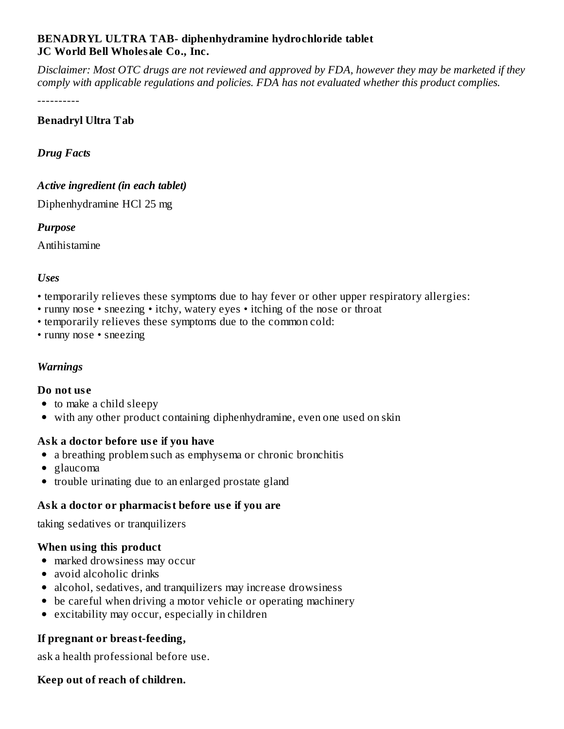#### **BENADRYL ULTRA TAB- diphenhydramine hydrochloride tablet JC World Bell Wholesale Co., Inc.**

Disclaimer: Most OTC drugs are not reviewed and approved by FDA, however they may be marketed if they *comply with applicable regulations and policies. FDA has not evaluated whether this product complies.*

----------

# **Benadryl Ultra Tab**

*Drug Facts*

# *Active ingredient (in each tablet)*

Diphenhydramine HCl 25 mg

# *Purpose*

Antihistamine

# *Uses*

- temporarily relieves these symptoms due to hay fever or other upper respiratory allergies:
- runny nose sneezing itchy, watery eyes itching of the nose or throat
- temporarily relieves these symptoms due to the common cold:
- runny nose sneezing

# *Warnings*

### **Do not us e**

- to make a child sleepy
- with any other product containing diphenhydramine, even one used on skin

### **Ask a doctor before us e if you have**

- a breathing problem such as emphysema or chronic bronchitis
- glaucoma
- trouble urinating due to an enlarged prostate gland

# **Ask a doctor or pharmacist before us e if you are**

taking sedatives or tranquilizers

### **When using this product**

- marked drowsiness may occur
- avoid alcoholic drinks
- alcohol, sedatives, and tranquilizers may increase drowsiness
- be careful when driving a motor vehicle or operating machinery
- excitability may occur, especially in children

# **If pregnant or breast-feeding,**

ask a health professional before use.

### **Keep out of reach of children.**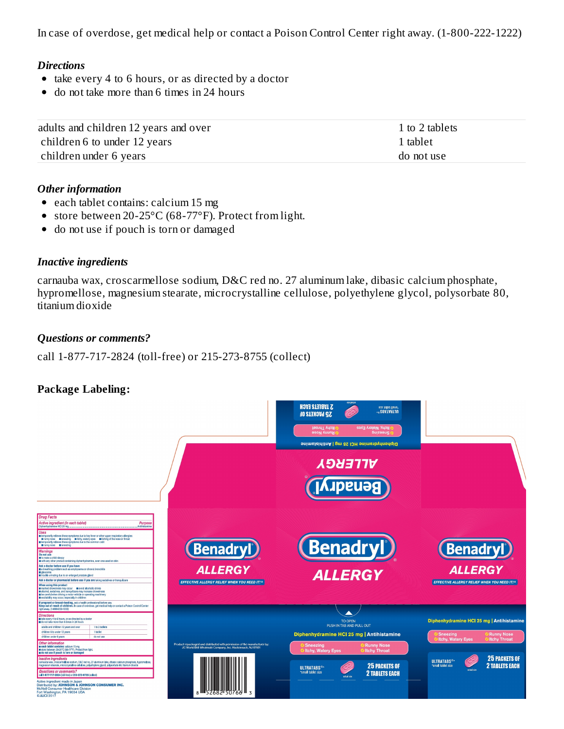In case of overdose, get medical help or contact a Poison Control Center right away. (1-800-222-1222)

#### *Directions*

- take every 4 to 6 hours, or as directed by a doctor
- do not take more than 6 times in 24 hours  $\bullet$

| adults and children 12 years and over | 1 to 2 tablets |
|---------------------------------------|----------------|
| children 6 to under 12 years          | 1 tablet       |
| children under 6 years                | do not use     |

#### *Other information*

- each tablet contains: calcium 15 mg
- store between 20-25°C (68-77°F). Protect from light.  $\bullet$
- do not use if pouch is torn or damaged  $\bullet$

#### *Inactive ingredients*

carnauba wax, croscarmellose sodium, D&C red no. 27 aluminum lake, dibasic calcium phosphate, hypromellose, magnesium stearate, microcrystalline cellulose, polyethylene glycol, polysorbate 80, titanium dioxide

#### *Questions or comments?*

call 1-877-717-2824 (toll-free) or 215-273-8755 (collect)

### **Package Labeling:**

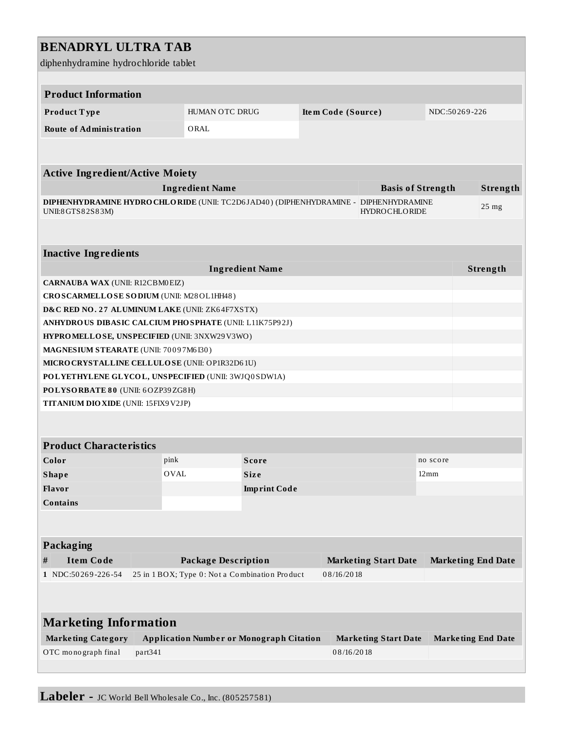# **BENADRYL ULTRA TAB**

diphenhydramine hydrochloride tablet

| aphemy aramme ny aro emoriae taolet                    |                                                                       |                                                           |                    |                                            |                           |                           |  |  |
|--------------------------------------------------------|-----------------------------------------------------------------------|-----------------------------------------------------------|--------------------|--------------------------------------------|---------------------------|---------------------------|--|--|
| <b>Product Information</b>                             |                                                                       |                                                           |                    |                                            |                           |                           |  |  |
| Product Type                                           | HUMAN OTC DRUG                                                        |                                                           | Item Code (Source) |                                            |                           | NDC:50269-226             |  |  |
| <b>Route of Administration</b>                         | ORAL                                                                  |                                                           |                    |                                            |                           |                           |  |  |
|                                                        |                                                                       |                                                           |                    |                                            |                           |                           |  |  |
|                                                        |                                                                       |                                                           |                    |                                            |                           |                           |  |  |
| <b>Active Ingredient/Active Moiety</b>                 |                                                                       |                                                           |                    |                                            |                           |                           |  |  |
| <b>Ingredient Name</b>                                 |                                                                       |                                                           |                    | <b>Basis of Strength</b>                   |                           | Strength                  |  |  |
|                                                        | DIPHENHYDRAMINE HYDRO CHLO RIDE (UNII: TC2D6JAD40) (DIPHENHYDRAMINE - |                                                           |                    | <b>DIPHENHYDRAMINE</b><br>25 <sub>mg</sub> |                           |                           |  |  |
| UNII:8GTS82S83M)<br><b>HYDROCHLORIDE</b>               |                                                                       |                                                           |                    |                                            |                           |                           |  |  |
|                                                        |                                                                       |                                                           |                    |                                            |                           |                           |  |  |
| <b>Inactive Ingredients</b>                            |                                                                       |                                                           |                    |                                            |                           |                           |  |  |
|                                                        |                                                                       | <b>Ingredient Name</b>                                    |                    |                                            |                           | Strength                  |  |  |
| CARNAUBA WAX (UNII: R12CBM0EIZ)                        |                                                                       |                                                           |                    |                                            |                           |                           |  |  |
| CROSCARMELLOSE SODIUM (UNII: M28OL1HH48)               |                                                                       |                                                           |                    |                                            |                           |                           |  |  |
| D&C RED NO. 27 ALUMINUM LAKE (UNII: ZK64F7XSTX)        |                                                                       |                                                           |                    |                                            |                           |                           |  |  |
| ANHYDROUS DIBASIC CALCIUM PHOSPHATE (UNII: L11K75P92J) |                                                                       |                                                           |                    |                                            |                           |                           |  |  |
| HYPROMELLOSE, UNSPECIFIED (UNII: 3NXW29V3WO)           |                                                                       |                                                           |                    |                                            |                           |                           |  |  |
| MAGNESIUM STEARATE (UNII: 70097M6I30)                  |                                                                       |                                                           |                    |                                            |                           |                           |  |  |
| MICRO CRYSTALLINE CELLULO SE (UNII: OP1R32D61U)        |                                                                       |                                                           |                    |                                            |                           |                           |  |  |
| POLYETHYLENE GLYCOL, UNSPECIFIED (UNII: 3WJQ0SDW1A)    |                                                                       |                                                           |                    |                                            |                           |                           |  |  |
| POLYSORBATE 80 (UNII: 6OZP39ZG8H)                      |                                                                       |                                                           |                    |                                            |                           |                           |  |  |
| TITANIUM DIO XIDE (UNII: 15FIX9V2JP)                   |                                                                       |                                                           |                    |                                            |                           |                           |  |  |
|                                                        |                                                                       |                                                           |                    |                                            |                           |                           |  |  |
| <b>Product Characteristics</b>                         |                                                                       |                                                           |                    |                                            |                           |                           |  |  |
| Color                                                  | pink                                                                  | Score                                                     |                    |                                            | no score                  |                           |  |  |
| <b>Shape</b>                                           | OVAL                                                                  | Size                                                      |                    |                                            | $12 \,\mathrm{mm}$        |                           |  |  |
| Flavor                                                 |                                                                       | <b>Imprint Code</b>                                       |                    |                                            |                           |                           |  |  |
| <b>Contains</b>                                        |                                                                       |                                                           |                    |                                            |                           |                           |  |  |
|                                                        |                                                                       |                                                           |                    |                                            |                           |                           |  |  |
|                                                        |                                                                       |                                                           |                    |                                            |                           |                           |  |  |
| Packaging                                              |                                                                       |                                                           |                    |                                            |                           |                           |  |  |
| <b>Item Code</b><br>$\#$                               |                                                                       | <b>Package Description</b><br><b>Marketing Start Date</b> |                    |                                            | <b>Marketing End Date</b> |                           |  |  |
| 1 NDC:50269-226-54                                     | 25 in 1 BOX; Type 0: Not a Combination Product                        |                                                           | 08/16/2018         |                                            |                           |                           |  |  |
|                                                        |                                                                       |                                                           |                    |                                            |                           |                           |  |  |
|                                                        |                                                                       |                                                           |                    |                                            |                           |                           |  |  |
| <b>Marketing Information</b>                           |                                                                       |                                                           |                    |                                            |                           |                           |  |  |
| <b>Marketing Category</b>                              | <b>Application Number or Monograph Citation</b>                       |                                                           |                    | <b>Marketing Start Date</b>                |                           | <b>Marketing End Date</b> |  |  |
| OTC monograph final<br>part341                         |                                                                       |                                                           | 08/16/2018         |                                            |                           |                           |  |  |
|                                                        |                                                                       |                                                           |                    |                                            |                           |                           |  |  |